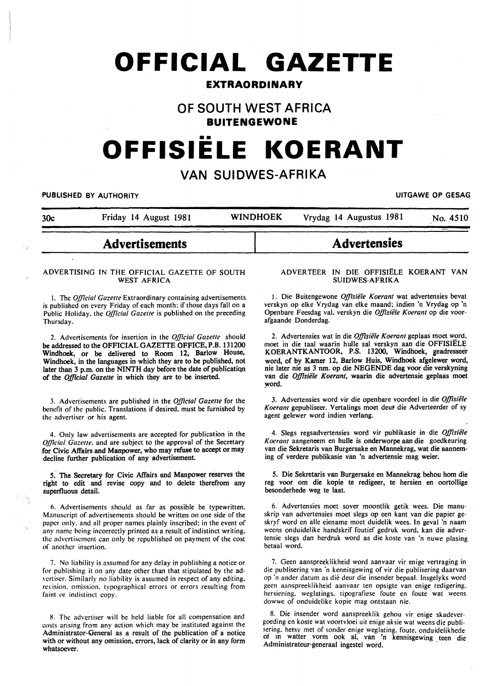# **OFFICIAL GAZETTE**

# **EXTRAORDINARY**

# **OF SOUTH WEST AFRICA BUITENGEWONE**

# •• **OFFISIELE KOERANT**

# **VAN SUIDWES-AFRIKA**

PUBLISHED BY AUTHORITY **EXAMPLE ASSAULTS AND AUTHORITY** CHARGE OF GESAG

|     | <b>Advertisements</b> |                 | <b>Advertensies</b>     |          |
|-----|-----------------------|-----------------|-------------------------|----------|
| 30c | Friday 14 August 1981 | <b>WINDHOEK</b> | Vrydag 14 Augustus 1981 | No. 4510 |

# **Advertisements**

#### ADVERTISING IN THE OFFICIAL GAZETTE OF SOUTH WEST AFRICA

I. The *Official Gazette* Extraordinary containing advertisements is published on every Friday of each month; if those days fall on a Public Holiday. the *Official Gazette* is published on the preceding Thursday.

2. Advertisements for insertion in the *Official Gazelle* should be addressed to the OFFICIAL GAZETTE OFFICE,P.B. 131200 Windhoek, or be delivered to Room 12, Barlow House, Windhoek, in the languages in which they are to be published, not later than 3 p.m. on the NINTH day before the date of publicatiqn of the *0./flcial Gazette* in which they are to be inserted.

3. Advertisements are published in the *Official Gazette* for the benefit of the public. Translations if desired. must be furnished by the advertiser or his agent.

4. Only law advertisements are accepted for publication in the *Official Gazette*. and are subject to the approval of the Secretary for Civic Affairs and Manpower, who may refuse to accept or may decline further publication of any advertisement

5. The Secretary for Civic Affairs and Manpower reserves the right to edit and revise copy and to delete therefrom any superfluous detail.

6. Advertisements should as far as possible be typewritten. Manuscript of advertisements should be written on one side of the paper only. and all proper names plainly inscribed: in the event of any name being incorrectly printed as a result of indistinct writing. the advertisement can only be republished on payment of the cost of another insertion.

7. No liability is assumed for any delay in publishing a notice or for publishing it on any date other than that stipulated by the advertiser. Similarly no liability is assumed in respect of any editing. revision. omission. typographical errors or errors resulting from faint or indistinct copy.

R The advertiser will be held liable for all compensation and costs arising from any action which may be instituted against the Administrator-General as a result of the publication of a notice with or without any omission, errors, lack of clarity or in any form whatsoever.

#### ADVERTEER IN DIE OFFISIELE KOERANT VAN SUIDWES-AFRIKA

1. Die Buitengewone Offisiële Koerant wat advertensies bevat verskyn op elke Vrydag van elke maand; indien 'n Vrydag op 'n Openbare Feesdag val. verskyn die *Offisiele Koerant* op die voorafgaande Donderdag.

2. Advertensies wat in die *Offisiële Koerant* geplaas moet word, moet in die taal waarin bulle sal verskyn aan die OFFISIELE KOERANTKANTOOR, P.S. 13200, Windhoek, geadresseer word, of by Kamer 12, Barlow Huis, Windhoek afgelewer word, nie later nie as 3 nm. op die NEGENDE dag voor die verskyning van die *Offisiële Koerant*, waarin die advertensie geplaas moet word.

3. Advertensies word vir die openbare voordeel in die *OJ]isiele Koerant* gepubliseer. Vertalings moet deut die Adverteerder of sy agent gelewer word indien verlang.

4. Slegs regsadvertensies word vir publikasie in die *0./flsie/e Koerant* aangeneem en hulle is onderworpe aan die goedkeuring van die Sekretaris van Burgersake en Mannekrag, wat die aanneming of verdere publikasie van 'n advertensie mag weier.

5. Die Sekretaris van Burgersake en Mannekrag behou hom die reg voor om die kopie te redigeer, te hersien en oortollige besonderhede weg te laat.

6. Advertensies moet sover moontlik getik wees. Die manuskrip van advertensies moet slegs op een kant van die papier geskryf word en aile eiename moet duidelik wees. In geval 'n naam weens onduidelike handskrif foutief gedruk word. kan die advertensie slegs dan herdruk word as die koste van 'n nuwe plasing betaal word.

7. Geen aanspreeklikheid word aanvaar vir enige vertraging in die publisering van 'n kennisgewing of vir die publisering daarvan op ·n ander datum as die deur die insender bepaal. Insgelyks word geen aanspreeklikheid aanvaar ten opsigte van enige redigering. hersiening. weglatings. tipografiese foute en foute wat weens dowwe of onduidelike kopie mag ontstaan nie.

8. Die insender word aanspreeklik gehou vir enige skadevergoeding en koste wat voortvloei uit enige aksie wat weens die publisering. hetsy met of sonder enige weglating. foute. onduidelikhede of in watter vorm ook al, van 'n kennisgewing teen die Administrateur-generaal ingestel word.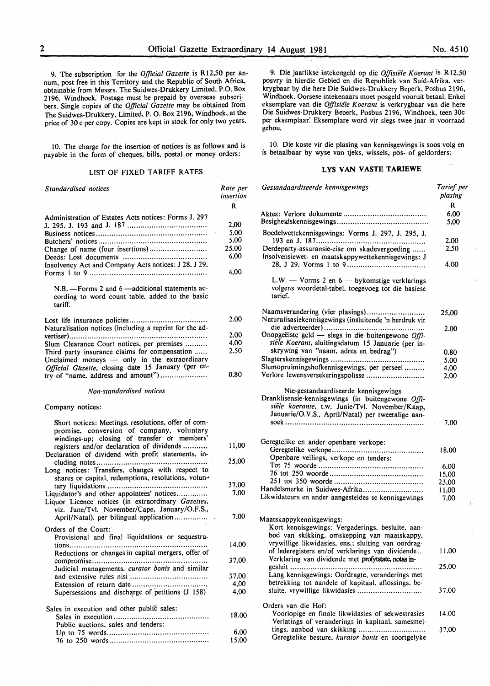9. The subscription for the *Official Gazette* is R 12,50 per annum, post free in this Territory and the Republic of South Africa, obtainable from Messrs. The Suidwes-Drukkery Limited, P.O. Box 2196, Windhoek. Postage must be prepaid by overseas subscr! bers. Single copies of the *Official Gazette* may be obtained from The Suidwes-Drukkery, Limited, P. 0. Box 2196, Windhoek, at the price of 30 c per copy. Copies are kept in stock for only two years.

10. The charge for the insertion of notices is as follows and is payable in the form of cheques, bills, postal or money orders:

# LIST OF FIXED TARIFF RATES

| Standardised notices                                                                                                                                                                          | Rate per<br>insertion                         |
|-----------------------------------------------------------------------------------------------------------------------------------------------------------------------------------------------|-----------------------------------------------|
|                                                                                                                                                                                               | R                                             |
| Administration of Estates Acts notices: Forms J. 297<br>Change of name (four insertions)<br>Insolvency Act and Company Acts notices: J 28, J 29,                                              | 2.00<br>5,00<br>5,00<br>25,00<br>6,00<br>4.00 |
| $N.B. - \text{Forms } 2$ and $6 - \text{additional statements }$<br>cording to word count table, added to the basic<br>tariff.                                                                |                                               |
| Naturalisation notices (including a reprint for the ad-                                                                                                                                       | 2,00                                          |
| Slum Clearance Court notices, per premises                                                                                                                                                    | 2.00<br>4,00                                  |
| Third party insurance claims for compensation<br>Unclaimed moneys - only in the extraordinary<br>Official Gazette, closing date 15 January (per en-<br>try of "name, address and amount")     | 2.50                                          |
|                                                                                                                                                                                               | 0,80                                          |
| Non-standardised notices                                                                                                                                                                      |                                               |
| Company notices:                                                                                                                                                                              |                                               |
| Short notices: Meetings, resolutions, offer of com-<br>promise, conversion of company, voluntary<br>windings-up; closing of transfer or members'<br>registers and/or declaration of dividends | 11,00                                         |
| Declaration of dividend with profit statements, in-<br>Long notices: Transfers, changes with respect to                                                                                       | 25,00                                         |
| shares or capital, redemptions, resolutions, volun-                                                                                                                                           |                                               |
| Liquidator's and other appointees' notices<br>Liquor Licence notices (in extraordinary Gazettes,<br>viz. June/Tvl, November/Cape, January/O.F.S.,                                             | 37,00<br>7,00                                 |
| April/Natal), per bilingual application                                                                                                                                                       | 7,00                                          |
| Orders of the Court:                                                                                                                                                                          |                                               |
| Provisional and final liquidations or sequestra-<br>Reductions or changes in capital mergers, offer of                                                                                        | 14,00                                         |
| Judicial managements, curator bonis and similar                                                                                                                                               | 37,00                                         |
|                                                                                                                                                                                               | 37,00                                         |
|                                                                                                                                                                                               | 4,00                                          |
| Supersessions and discharge of petitions (J 158)                                                                                                                                              | 4,00                                          |
| Sales in execution and other public sales:                                                                                                                                                    |                                               |
| Public auctions, sales and tenders:                                                                                                                                                           | 18,00                                         |
|                                                                                                                                                                                               | 6,00<br>15.00                                 |

9. Die jaarlikse intekengeld op die *Offisiele K oerant* is R 12.50 posvry in hierdie Gebied en die Republiek van Suid-Afrika, verkrygbaar by die here Die Suidwes-Drukkery Beperk, Posbus 2196, Windhoek. Oorsese intekenaars moet posgeld vooruit betaal. Enkel eksemplare van die Offisiële Koerant is verkrygbaar van die here Die Suidwes-Drukkery Beperk, Posbus 2196, Windhoek, teen 30c per eksemplaar: Eksemplare word vir slegs twee jaar in voorraad gehou.

10. Die koste vir die plasing van kennisgewings is soos volg en is betaalbaar by wyse van tjeks, wissels, pos- of geldorders:

# **LYS VAN V ASTE TARIEWE**

| Gestandaardiseerde kennisgewings                                                                                                                          | Tarief per<br>plasing |  |
|-----------------------------------------------------------------------------------------------------------------------------------------------------------|-----------------------|--|
|                                                                                                                                                           | R                     |  |
|                                                                                                                                                           | 6,00<br>5.00          |  |
| Boedelwettekennisgewings: Vorms J. 297, J. 295, J.                                                                                                        | 2.00                  |  |
| Derdeparty-assuransie-eise om skadevergoeding<br>Insolvensiewet- en maatskappywettekennisgewings: J                                                       | 2.50                  |  |
|                                                                                                                                                           | 4.00                  |  |
| L.W. $-$ Vorms 2 en $6 -$ by komstige verklarings<br>volgens woordetal-tabel, toegevoeg tot die basiese<br>tarief.                                        |                       |  |
| Naamsverandering (vier plasings)<br>Naturalisasiekennisgewings (insluitende 'n herdruk vir                                                                | 25,00                 |  |
| Onopgeëiste geld - slegs in die buitengewone Offi-                                                                                                        | 2,00                  |  |
| siële Koerant, sluitingsdatum 15 Januarie (per in-                                                                                                        |                       |  |
| skrywing van "naam, adres en bedrag")                                                                                                                     | 0.80                  |  |
|                                                                                                                                                           | 5.00                  |  |
| Slumopruimingshofkennisgewings, per perseel                                                                                                               | 4,00                  |  |
| Verlore lewensversekeringspolisse                                                                                                                         | 2.00                  |  |
| Dranklisensie-kennisgewings (in buitengewone Offi-<br>siële koerante, t.w. Junie/Tvl. November/Kaap,<br>Januarie/O.V.S., April/Natal) per tweetalige aan- | 7.00                  |  |
| Geregtelike en ander openbare verkope:                                                                                                                    |                       |  |
|                                                                                                                                                           | 18.00                 |  |
| Openbare veilings, verkope en tenders:                                                                                                                    |                       |  |
|                                                                                                                                                           | 6,00                  |  |
|                                                                                                                                                           | 15,00                 |  |
|                                                                                                                                                           | 23,00                 |  |
| Handelsmerke in Suidwes-Afrika                                                                                                                            | 11,00                 |  |
| Likwidateurs en ander aangesteldes se kennisgewings                                                                                                       | 7.00                  |  |
|                                                                                                                                                           |                       |  |
| Maatskappykennisgewings:                                                                                                                                  |                       |  |
| Kort kennisgewings: Vergaderings, besluite, aan-                                                                                                          |                       |  |
| bod van skikking, omskepping van maatskappy,                                                                                                              |                       |  |
| vrywillige likwidasies, ens.: sluiting van oordrag-<br>of lederegisters en/of verklarings van dividende                                                   | 11.00                 |  |
| Verklaring van dividende met profytstate, notas in-                                                                                                       |                       |  |
| $e$ esluit                                                                                                                                                | 25.00                 |  |
| Lang kennisgewings: Oordragte, veranderings met                                                                                                           |                       |  |
| betrekking tot aandele of kapitaal, aflossings, be-                                                                                                       |                       |  |
| sluite, vrywillige likwidasies                                                                                                                            | 37.00                 |  |
| Orders van die Hof:                                                                                                                                       |                       |  |
| Voorlopige en finale likwidasies of sekwestrasies                                                                                                         | 14.00                 |  |
| Verlatings of veranderings in kapitaal, samesmel-                                                                                                         |                       |  |
| tings. aanbod van skikking<br>Geregtelike besture. kurator bonis en soortgelyke                                                                           | 37,00                 |  |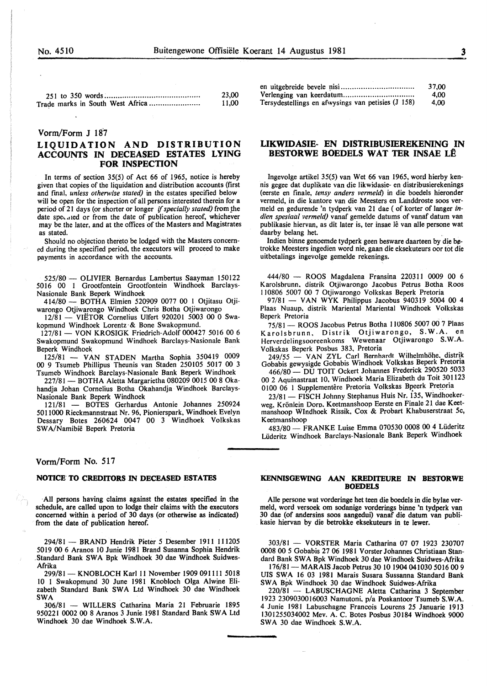|                                  | 23,00 |
|----------------------------------|-------|
| Trade marks in South West Africa | 11.00 |

#### Vorm/Form J 187

# LIQUIDATION AND DISTRIBUTION ACCOUNTS IN DECEASED ESTATES LYING FOR INSPECTION

In terms of section 35(5) of Act 66 of 1965, notice is hereby given that copies of the liquidation and distribution accounts (first and fmal, *unless otherwise stated)* in the estates specified below will be open for the inspection of all persons interested therein for a period of 21 days (or shorter or longer *if specially stated)* from the date specaled or from the date of publication hereof, whichever may be the later, and at the offices of the Masters and Magistrates as stated.

Should no objection thereto be lodged with the Masters concerned during the specified period, the executors will proceed to make payments in accordance with the accounts.

525/80- OLIVIER Bernardus Lambertus Saayman I50122 50I6 00 1 Grootfontein Grootfontein Windhoek Barclays-Nasionale Bank Beperk Windhoek

414/80- BOTHA Elmien 520909 0077 00 I Otjitasu Otjiwarongo Otjiwarongo Windhoek Chris Botha Otjiwarongo

12/81 - VIETOR Cornelius Ulfert 920201 5003 00 0 Swakopmund Windhoek Lorentz· & Bone Swakopmund.

I27/81- VON KROSIGK Friedrich-Adolf 000427 5016 00 6 Swakopmund Swakopmund Windhoek Barclays-Nasionale Bank Beperk Windhoek

125/81 - VAN STADEN Martha Sophia 350419 0009 00 9 Tsumeb Phillipus Theunis van Staden 250105 5017 00 3 Tsumeb Windhoek Barclays-Nasionale Bank Beperk Windhoek

227/81 - BOTHA Aletta Margarietha 080209 0015 00 8 Okahandja Johan Cornelius Botha Okahandja Windhoek Barclays-Nasionale Bank Beperk Windhoek

121/8I - BOTES Gerhardus Antonie Johannes 250924 5011000 Rieckmannstraat Nr. 96, Pionierspark, Windhoek Evelyn Dessary Botes 260624 0047 00 3 Windhoek Volkskas SW A/Namibie Beperk Pretoria

# Vorm/Form No. 517

#### NOTICE TO CREDITORS IN DECEASED ESTATES

·All persons having claims against the estates specified in the schedule, are called upon to lodge their claims with the executors concerned within a period of 30 days (or otherwise as indicated) from the date of publication hereof.

294/81 - BRAND Hendrik Pieter 5 Desember 1911 111205 5019 00 6 Aranos 10 Junie 1981 Brand Susanna Sophia Hendrik Standard Bank SWA Bpk Windhoek 30 dae Windhoek Suidwes-Afrika

299/81 - KNOBLOCH Karl 11 November 1909 091111 5018 10 1 Swakopmund 30 June 1981 Knobloch Olga Alwine Elizabeth Standard Bank SWA Ltd Windhoek 30 dae Windhoek SWA

306/8I - WILLERS Catharina Maria 21 Februarie 1895 950221 0002 00 8 Aranos 3 Junie. 1981 Standard Bank SWA Ltd Windhoek 30 dae Windhoek S.W.A.

|                                                    | 37.00 |
|----------------------------------------------------|-------|
|                                                    | 4.00  |
| Tersydestellings en afwysings van petisies (J 158) | 4.00  |

## LIKWIDASIE- EN DISTRIBUSIEREKENING IN BESTORWE BOEDELS WAT TER INSAE LÊ

Ingevolge artikel 35(5) van Wet 66 van 1965, word hierby kennis gegee dat duplikate van die likwidasie- en distribusierekenings (eerste en finale, *tensy anders vermeld*) in die boedels hieronder vermeld, in die kantore van die Meesters en Landdroste soos vermeld en gedurende 'n tydperk van 21 dae ( of korter of Ianger in*dien spesiaal vermeld)* vanaf gemelde datums of vanaf datum van publikasie hiervan, as dit later is, ter insae lê van alle persone wat daarby belang het.

Indien binne genoemde tydperk geen besware daarteen by die betrokke Meesters ingedien word nie, gaan die eksekuteurs oor tot die uitbetalings ingevolge gemelde rekenings.

444/80 - ROOS Magdalena Fransina 220311 0009 00 6 Karolsbrunn. distrik Otjiwarongo Jacobus Petrus Botha Roos 110806 5007 00 7 Otjiwarongo Volkskas Beperk Pretoria

 $97/81 - VAN WYK$  Philippus Jacobus 940319 5004 00 4 Plaas Nuaup, distrik Mariental Mariental Windhoek Volkskas Beperk Pretoria

75/81 - ROOS Jacobus Petrus Botha 110806 5007 00 7 Plaas Karolsbrunn, Distrik Otjiwarongo, S.W.A. en Herverdelingsooreenkoms Wewenaar Otjiwarongo S.W.A. Volkskas Beperk Posbus 383, Pretoria

249/55 - VAN ZYL Carl Bernhardt Wilhelmhöhe. distrik Gobabis gewysigde Gobabis Windhoek Volkskas Beperk Pretoria

466/80 - DU TOIT Ockert Johannes Frederick 290520 5033 00 2 Aquinastraat 10, Windhoek Maria Elizabeth du Toit 301123 0100 06 1 Supplementêre Pretoria Volkskas Bpeerk Pretoria

23/81 - FISCH Johnny Stephanus Huis Nr. 135, Windhoekerweg, Krönlein Dorp. Keetmanshoop Eerste en Finale 21 dae Keetmanshoop Windhoek Rissik, Cox & Probart Khabuserstraat 5c, Keetmanshoop

483/80 - FRANKE Luise Emma 070530 0008 00 4 Lüderitz Liideritz Windhoek Barclays-Nasionale Bank Beperk Windhoek

#### KENNISGEWING AAN KREDITEURE IN BESTORWE BOEDELS

Aile persone wat vorderinge het teen die boedels in die bylae ver-30 dae (of andersins soos aangedui) vanaf die datum van publikasie hiervan by die betrokke eksekuteurs in te lewer.

303/81 - VORSTER Maria Catharina 07 07 1923 230707 0008 00 5 Gobabis 27 06 1981 Vorster Johannes Christiaan Standard Bank SWA Bpk Windhoek 30 dae Windhoek Suidwes-Afrika

176/81- MARAIS Jacob Petrus 30 IO 1904 041030 5016 00 9 UIS SWA 16 03 1981 Marais Susara Sussanna Standard Bank SW A Bpk Windhoek 30 dae Windhoek Suidwes-Afrika

220/81 - LABUSCHAGNE Aletta Catharina 3 September 1923 2309030016003 Namutoni, p/a Poskantoor Tsumeb S.W.A. 4 Junie 1981 Labuschagne Francois Lourens 25 Januarie 1913 1301255034002 Mev. A. C. Botes Posbus 30184 Windhoek 9000 SWA 30 dae Windhoek S.W.A.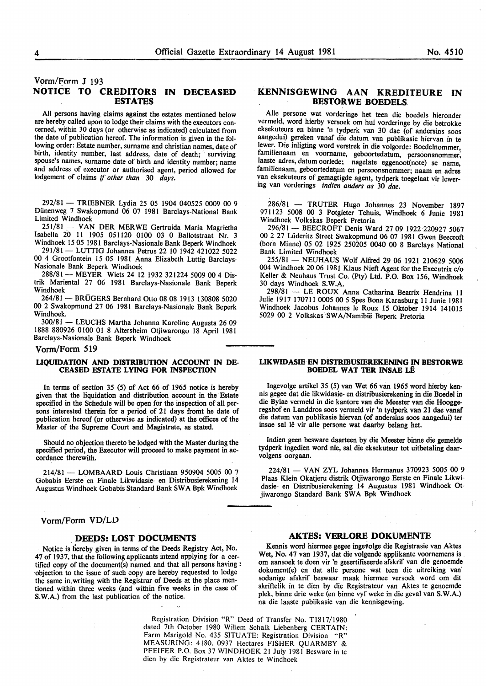# Vorm/Form J 193 NOTICE TO CREDITORS IN DECEASED ESTATES

All persons having claims against the estates mentioned below are hereby called upon to lodge their claims with the executors concerned, within 30 days (or otherwise as indicated) calculated from the date of publication hereof. The information is given in the following order: Estate number, surname and christian names, date of birth, identity number, last address, date of death; surviving spouse's names, surname date of birth and identity number; name and address of executor or authorised agent, period allowed for lodgement of claims if *other than* 30 *days.* 

292/81 - TRIEBNER Lydia 25 05 1904 040525 0009 00 9 Diinenweg 7 Swakopmund 06 07 1981 Barclays-National Bank Limited Windhoek

251/81 - VAN DER MERWE Gertruida Maria Magrietha Isabella 20 11 1905 051120 0100 03 0 Ballotstraat Nr. 3 Windhoek 15 05 1981 Barclays-Nasionale Bank Beperk Windhoek

291/81- LUTTIG Johannes Petrus 22 10 1942 421022 5022 00 4 Grootfontein 15 05 1981 Anna Elizabeth Luttig Barclays-Nasionale Bank Beperk Windhoek

288/81 - MEYER Wiets 24 12 1932 321224 5009 00 4 Distrik Mariental 27 06 1981 Barclays-Nasionale Bank Beperk Windhoek

264/81 - BRÜGERS Bernhard Otto 08 08 1913 130808 5020 00 2 Swakopmund 27 06 1981 Barclays-Nasionale Bank Beperk Windhoek.

300/81 - LEUCHS Martha Johanna Karoline Augusta 26 09 1888 880926 0100 01 8 Altersheim Otjiwarongo 18 April 1981 Barclays-Nasionale Bank Beperk Windhoek

#### Vorm/Form 519

#### UQUIDATION AND DISTRIBUTION ACCOUNT IN DE-CEASED ESTATE LYING FOR INSPECTION

In terms of section 35 (5) of Act 66 of 1965 notice is hereby given that the liquidation and distribution account in the Estate specified in the Schedule will be open for the inspection of all persons interested therein for a period of 21 days fromt he date of publication hereof (or otherwise as indicated) at the offices of the Master of the Supreme Court and Magistrate, as stated.

Should no objection thereto be lodged with the Master during the specified period, the Executor will proceed to make payment in accordance therewith.

214/81 - LOMBAARD Louis Christiaan 950904 5005 00 7 Gobabis Eerste en Finale Likwidasie- en Distribusierekening 14 Augustus Windhoek Gobabis Standard Bank SW A Bpk Windhoek

## Vorm/Form VD/LD

# DEEDS: LOST DOCUMENTS

Notice is hereby given in terms of the Deeds Registry Act, No. 47 of 1937, that the following applicants intend applying for a certified copy of the document(s) named and that all persons having : ·objection to the issue of such copy are hereby requested to lodge the same in. writing with the Registrar of Deeds at the place mentioned within three weeks (and within five weeks in the case of S.W.A.) from the last publication of the notice.

# · KENNISGEWING AAN KREDITEURE IN BESTORWE BOEDELS

Aile persone wat vorderinge het teen die boedels hieronder vermeld, word hierby versoek om hul vorderinge by die betrokke eksekuteurs en binne 'n tydperk van 30 dae (of andersins soos aangedui) gereken vanaf die datum van publikasie hiervan in te lewer. Die inligting word verstrek in die volgorde: Boedelnommer, familienaam en voorname, geboortedatum, persoonsnommer; laaste adres, datum oorlede; nagelate eggenoot(note) se name, familienaam, geboortedatum en persoonsnommer; naam en adres van eksekuteurs of gemagtigde agent, tydperk toegelaat vir lewering van vorderings *indien anders as* 30 *dae.* 

286/81 - TRUTER Hugo Johannes 23 November 1897 971123 5008 00 3 Potgieter Tehuis, Windhoek 6 Junie 1981 Windhoek Volkskas Beperk Pretoria

296/81 - BEECROFT Denis Ward 27 09 1922 220927 5067 00 2 27 Liideritz Street Swakopmund 06 07 1981 Gwen Beecroft (born Minne) 05 02 1925 250205 0040 00 8 Barclays National Bank Limited Windhoek

255/81 - NEUHAUS Wolf Alfred 29 06 1921 210629 5006 004 Windhoek 20 06 1981 Klaus Nieft Agent for the Executrix c/o Keller & Neuhaus Trust Co. (Pty) Ltd. P.O. Box 156, Windhoek 30 days Windhoek S.W.A.

298/81 - LE ROUX Anna Catharina Beatrix Hendrina 11 Julie 1917 170711 0005 00 5 Spes Bona Karasburg 11 Junie 1981 Windhoek Jacobus Johannes le Roux 15 Oktober 1914 141015 5029 00 2 Volkskas 'SWA/Namibie Beperk Pretoria

#### LIKWIDASIE EN DISTRIBUSIEREKENING IN BESTORWE BOEDEL WAT TER INSAE L£

lngevolge artike1 35 (5) van Wet 66 van 1965 word hierby kennis gegee dat die likwidasie- en distribusierekening in die Boedel in die Bylae vermeld in die kantore van die Meester van die Hooggeregshof en Landdros soos vermeld vir 'n tydperk van 21 dae vanaf die datum van publikasie hiervan (of andersins soos aangedui) ter insae sal lê vir alle persone wat daarby belang het.

Indien geen besware daarteen by die Meester binne die gemelde tydperk ingedien word nie, sal die eksekuteur tot uitbetaling daarvolgens oorgaan.

224/81 - VAN ZYL Johannes Hermanus 370923 5005 00 9 Plaas Klein Okatjeru distrik Otjiwarongo Eerste en Finale Likwidasie- en Distribusierekening 14 Augustus 1981 Windhoek Otjiwarongo Standard Bank SWA Bpk Windhoek

#### AKTES: VERLORE DOKUMENTE

Kennis word hiermee gegee ingetolge die Registrasie van Aktes Wet, No. 47 van 1937, dat die volgende applikante voornemens is. om aansoek te doen vir 'n gesertifiseerde afskrif van die genoemde dokument(e) en dat aile persone wat teen die uitreiking van· sodanige afskrif beswaar maak hiermee versoek word om dit skriftelik in te dien by die Registrateur van Aktes te genoemde plek, binne drie weke (en binne vyf weke in die geval van S.W.A.) na die laaste publikasie van die kennisgewing.

Registration Division "R" Deed of Transfer No. Tl817/1980 dated 7th October 1980 Willem Schalk Liebenberg CERTAIN: Farm Marigold No. 435 SITUATE: Registration Division "R" MEASURING: 4180, 0937 Hectares FISHER QUARMBY & PFEIFER P.O. Box 37 WINDHOEK 21 July 1981 Besware in te dien by die Registrateur van Aktes te Windhoek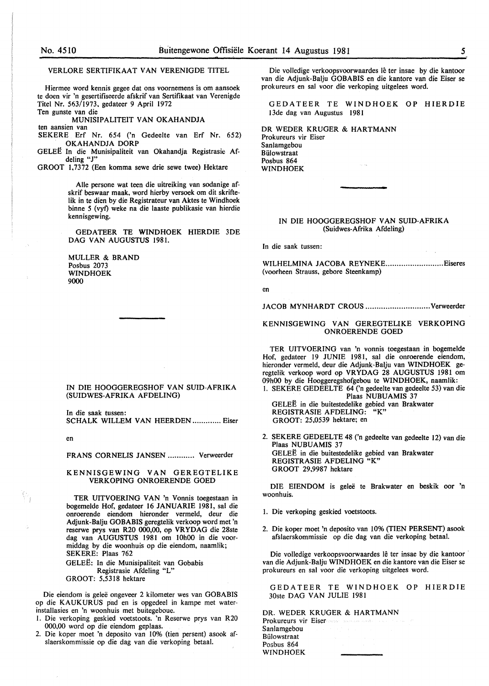VERLORE SERTIFIKAAT VAN VERENIGDE TITEL

Hiermee word kennis gegee dat ons voornemens is om aansoek te doen vir 'n gesertifiseerde afskrif van Sertifikaat van Verenigde Titel Nr. 563/1973, gedateer 9 April 1972 Ten gunste van die

MUNISIPALITEIT VAN OKAHANDJA ten aansien van

SEKERE Erf Nr. 654 ('n Gedeelte van Erf Nr. 652) OKAHANDJA DORP

GELEE In die Munisipaliteit van Okahandja Registrasie Afdeling "J"

GROOT 1,7372 (Een komma sewe drie sewe twee) Hektare

Aile persone wat teen die uitreiking van sodanige afskrif beswaar maak, word hierby versoek om dit skriftelik in te dien by die Registrateur van Aktes te Windhoek binne 5 (vyt) weke na die laaste publikasie van hierdie kennisgewing.

GEDATEER TE WINDHOEK HIERDIE 3DE DAG VAN AUGUSTUS 1981.

MULLER & BRAND Posbus 2073 WINDHOEK 9000

IN DIE HOOGGEREGSHOF VAN SUID-AFRIKA (SUIDWES-AFRIKA AFDELING)

In die saak tussen: SCHALK WILLEM VAN HEERDEN ............. Eiser

en

FRANS CORNELIS JANSEN ............ Verweerder

#### KENNISGEWING VAN GEREGTELIKE VERKOPING ONROERENDE GOED

TER UITVOERING VAN 'n Vonnis toegestaan in bogemelde Hof, gedateer I6 JANUARIE I98I, sal die onroerende eiendom hieronder vermeld, deur die Adjunk-Balju GOBABIS geregtelik verkoop word met 'n reserwe prys van R20 000,00, op VR YDAG die 28ste dag van AUGUSTUS I98I om IOhOO in die voormiddag by die woonhuis op die eiendom, naamlik; SEKERE: Plaas 762 GELEE: In die Munisipaliteit van Gobabis

Registrasie Afdeling "L" GROOT: 5,53I8 hektare

Die eiendom is geleë ongeveer 2 kilometer wes van GOBABIS op die KAUKURUS pad en is opgedeel in kampe met waterinstallasies en 'n woonhuis met buitegeboue.

- I. Die verkoping geskied voetstoots. 'n Reserwe prys van R20 000,00 word op die eiendom geplaas.
- 2. Die koper moet 'n deposito van 10% (tien persent) asook afslaerskommissie op die dag van die verkoping betaal.

Die volledige verkoopsvoorwaardes lê ter insae by die kantoor van die Adjunk-Balju GOBABIS en die kantore van die Eiser se prokureurs en sal voor die verkoping uitgelees word.

GEDATEER TE WINDHOEK OP HIERDIE 13de dag van Augustus 1981

DR WEDER KRUGER & HARTMANN Prokureurs vir Eiser Sanlamgebou **Bülowstraat** Posbus 864 WINDHOEK

#### IN DIE HOOGGEREGSHOF VAN SUID-AFRIKA (Suidwes-Afrika Afdeling)

In die saak tussen:

WILHELMINA JACOBA REYNEKE.............................. Eiseres (voorheen Strauss, gebore Steenkamp)

en

JACOB MYNHARDT CROUS ............................. Verweerder

#### KENNISGEWING VAN GEREGTELIKE VERKOPING ONROERENDE GOED

TER UITVOERING van 'n vonnis toegestaan in bogemelde Hof, gedateer 19 JUNIE I981, sal die onroerende eiendom, hieronder vermeld, deur die Adjunk-Balju van WINDHOEK geregtelik verkoop word op VRYDAG 28 AUGUSTUS I981 om 09h00 by die Hooggeregshofgebou te WINDHOEK, naamlik: I. SEKERE GEDEELTE 64 ('n gedeelte van gedeelte 53) van die

Plaas NUBUAMIS 37 GELEË in die buitestedelike gebied van Brakwater<br>REGISTRASIE AFDELING: "K" REGISTRASIE AFDELING: GROOT: 25,0539 hektare; en

2. SEKERE GEDEELTE 48 ('n gedeelte van gedeelte I2) van die Plaas NUBUAMIS 37 GELEE in die buitestedelike gebied van Brakwater REGISTRASIE AFDELING "K" GROOT 29,9987 hektare

DIE EIENDOM is geleë te Brakwater en beskik oor 'n woonhuis.

- I. Die verkoping geskied voetstoots.
- 2. Die koper moet 'n deposito van 10% (TIEN PERSENT) asook afslaerskommissie op die dag van die verkoping betaal.

Die volledige verkoopsvoorwaardes lê ter insae by die kantoor van die Adjunk-Balju WINDHOEK en die kantore van die Eiser se prokureurs en sal voor die verkoping uitgelees word.

GEDATEER TE WINDHOEK OP HIERDIE 30ste DAG VAN JULIE 1981

DR. WEDER KRUGER & HARTMANN Prokureurs vir Eiser Sanlamgebou Biilowstraat Posbus 864 WINDHOEK